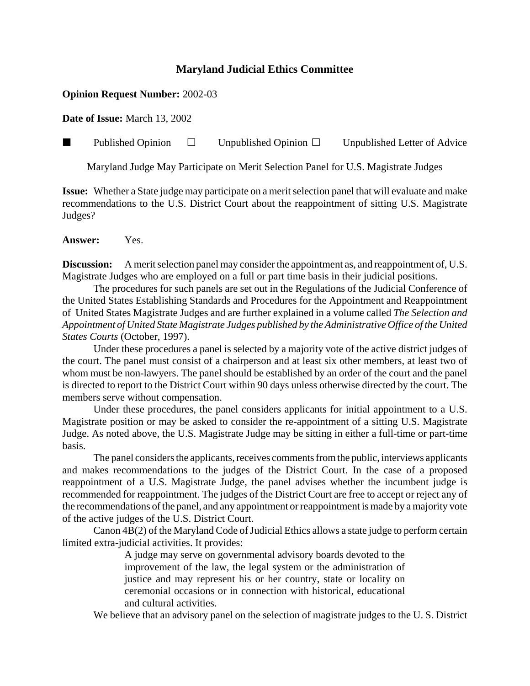## **Maryland Judicial Ethics Committee**

## **Opinion Request Number:** 2002-03

**Date of Issue:** March 13, 2002

**Published Opinion**  $\Box$  Unpublished Opinion  $\Box$  Unpublished Letter of Advice

Maryland Judge May Participate on Merit Selection Panel for U.S. Magistrate Judges

**Issue:** Whether a State judge may participate on a merit selection panel that will evaluate and make recommendations to the U.S. District Court about the reappointment of sitting U.S. Magistrate Judges?

**Answer:** Yes.

**Discussion:** A merit selection panel may consider the appointment as, and reappointment of, U.S. Magistrate Judges who are employed on a full or part time basis in their judicial positions.

The procedures for such panels are set out in the Regulations of the Judicial Conference of the United States Establishing Standards and Procedures for the Appointment and Reappointment of United States Magistrate Judges and are further explained in a volume called *The Selection and Appointment of United State Magistrate Judges published by the Administrative Office of the United States Courts* (October, 1997).

Under these procedures a panel is selected by a majority vote of the active district judges of the court. The panel must consist of a chairperson and at least six other members, at least two of whom must be non-lawyers. The panel should be established by an order of the court and the panel is directed to report to the District Court within 90 days unless otherwise directed by the court. The members serve without compensation.

Under these procedures, the panel considers applicants for initial appointment to a U.S. Magistrate position or may be asked to consider the re-appointment of a sitting U.S. Magistrate Judge. As noted above, the U.S. Magistrate Judge may be sitting in either a full-time or part-time basis.

The panel considers the applicants, receives comments from the public, interviews applicants and makes recommendations to the judges of the District Court. In the case of a proposed reappointment of a U.S. Magistrate Judge, the panel advises whether the incumbent judge is recommended for reappointment. The judges of the District Court are free to accept or reject any of the recommendations of the panel, and any appointment or reappointment is made by a majority vote of the active judges of the U.S. District Court.

Canon 4B(2) of the Maryland Code of Judicial Ethics allows a state judge to perform certain limited extra-judicial activities. It provides:

> A judge may serve on governmental advisory boards devoted to the improvement of the law, the legal system or the administration of justice and may represent his or her country, state or locality on ceremonial occasions or in connection with historical, educational and cultural activities.

We believe that an advisory panel on the selection of magistrate judges to the U.S. District